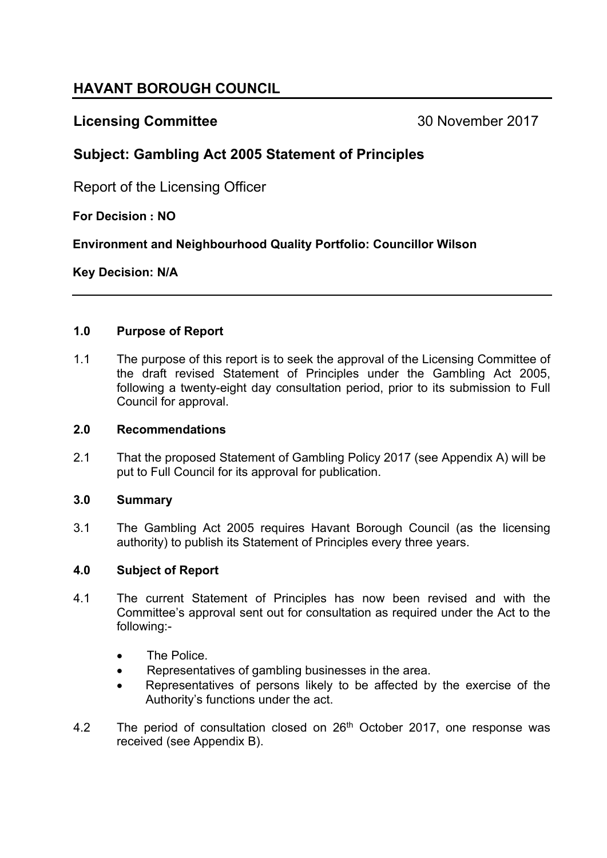# **HAVANT BOROUGH COUNCIL**

## **Licensing Committee** 30 November 2017

## **Subject: Gambling Act 2005 Statement of Principles**

Report of the Licensing Officer

## **For Decision : NO**

**Environment and Neighbourhood Quality Portfolio: Councillor Wilson**

## **Key Decision: N/A**

## **1.0 Purpose of Report**

1.1 The purpose of this report is to seek the approval of the Licensing Committee of the draft revised Statement of Principles under the Gambling Act 2005, following a twenty-eight day consultation period, prior to its submission to Full Council for approval.

## **2.0 Recommendations**

2.1 That the proposed Statement of Gambling Policy 2017 (see Appendix A) will be put to Full Council for its approval for publication.

## **3.0 Summary**

3.1 The Gambling Act 2005 requires Havant Borough Council (as the licensing authority) to publish its Statement of Principles every three years.

## **4.0 Subject of Report**

- 4.1 The current Statement of Principles has now been revised and with the Committee's approval sent out for consultation as required under the Act to the following:-
	- The Police.
	- Representatives of gambling businesses in the area.
	- Representatives of persons likely to be affected by the exercise of the Authority's functions under the act.
- 4.2 The period of consultation closed on 26<sup>th</sup> October 2017, one response was received (see Appendix B).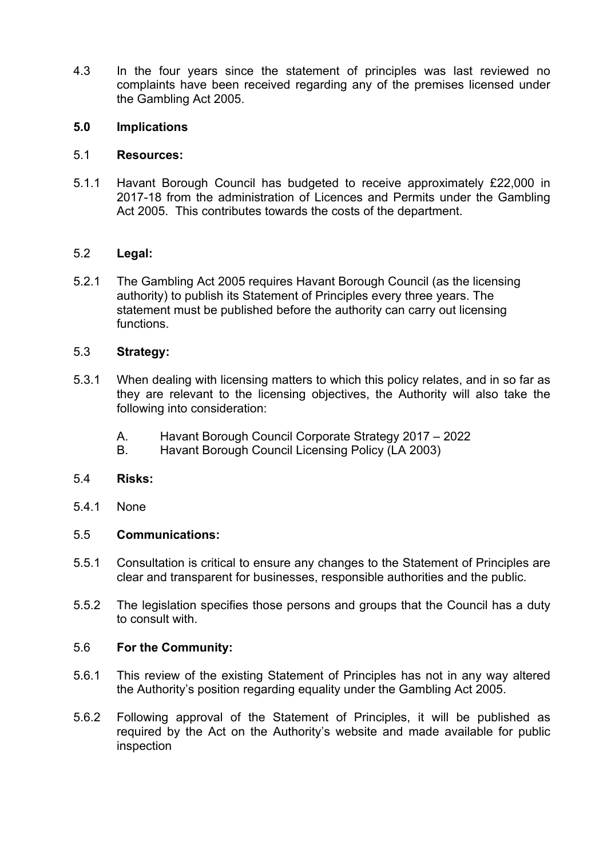4.3 In the four years since the statement of principles was last reviewed no complaints have been received regarding any of the premises licensed under the Gambling Act 2005.

#### **5.0 Implications**

#### 5.1 **Resources:**

5.1.1 Havant Borough Council has budgeted to receive approximately £22,000 in 2017-18 from the administration of Licences and Permits under the Gambling Act 2005. This contributes towards the costs of the department.

## 5.2 **Legal:**

5.2.1 The Gambling Act 2005 requires Havant Borough Council (as the licensing authority) to publish its Statement of Principles every three years. The statement must be published before the authority can carry out licensing functions.

## 5.3 **Strategy:**

- 5.3.1 When dealing with licensing matters to which this policy relates, and in so far as they are relevant to the licensing objectives, the Authority will also take the following into consideration:
	- A. Havant Borough Council Corporate Strategy 2017 2022
	- B. Havant Borough Council Licensing Policy (LA 2003)

#### 5.4 **Risks:**

5.4.1 None

#### 5.5 **Communications:**

- 5.5.1 Consultation is critical to ensure any changes to the Statement of Principles are clear and transparent for businesses, responsible authorities and the public.
- 5.5.2 The legislation specifies those persons and groups that the Council has a duty to consult with.

#### 5.6 **For the Community:**

- 5.6.1 This review of the existing Statement of Principles has not in any way altered the Authority's position regarding equality under the Gambling Act 2005.
- 5.6.2 Following approval of the Statement of Principles, it will be published as required by the Act on the Authority's website and made available for public inspection